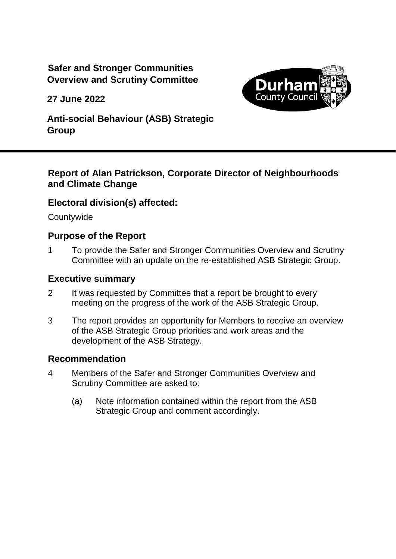# **Safer and Stronger Communities Overview and Scrutiny Committee**

**27 June 2022**



**Anti-social Behaviour (ASB) Strategic Group**

## **Report of Alan Patrickson, Corporate Director of Neighbourhoods and Climate Change**

## **Electoral division(s) affected:**

**Countywide** 

## **Purpose of the Report**

1 To provide the Safer and Stronger Communities Overview and Scrutiny Committee with an update on the re-established ASB Strategic Group.

#### **Executive summary**

- 2 It was requested by Committee that a report be brought to every meeting on the progress of the work of the ASB Strategic Group.
- 3 The report provides an opportunity for Members to receive an overview of the ASB Strategic Group priorities and work areas and the development of the ASB Strategy.

### **Recommendation**

- 4 Members of the Safer and Stronger Communities Overview and Scrutiny Committee are asked to:
	- (a) Note information contained within the report from the ASB Strategic Group and comment accordingly.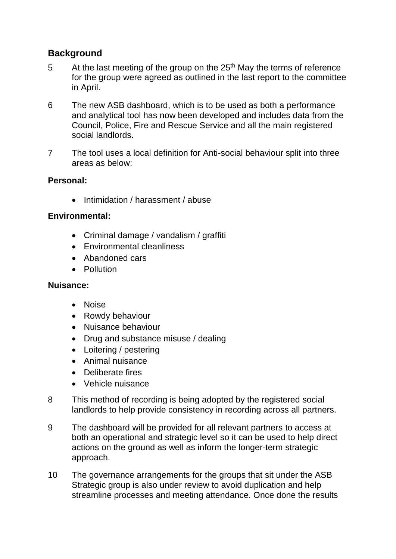# **Background**

- 5 At the last meeting of the group on the  $25<sup>th</sup>$  May the terms of reference for the group were agreed as outlined in the last report to the committee in April.
- 6 The new ASB dashboard, which is to be used as both a performance and analytical tool has now been developed and includes data from the Council, Police, Fire and Rescue Service and all the main registered social landlords.
- 7 The tool uses a local definition for Anti-social behaviour split into three areas as below:

### **Personal:**

• Intimidation / harassment / abuse

### **Environmental:**

- Criminal damage / vandalism / graffiti
- Environmental cleanliness
- Abandoned cars
- Pollution

#### **Nuisance:**

- Noise
- Rowdy behaviour
- Nuisance behaviour
- Drug and substance misuse / dealing
- Loitering / pestering
- Animal nuisance
- Deliberate fires
- Vehicle nuisance
- 8 This method of recording is being adopted by the registered social landlords to help provide consistency in recording across all partners.
- 9 The dashboard will be provided for all relevant partners to access at both an operational and strategic level so it can be used to help direct actions on the ground as well as inform the longer-term strategic approach.
- 10 The governance arrangements for the groups that sit under the ASB Strategic group is also under review to avoid duplication and help streamline processes and meeting attendance. Once done the results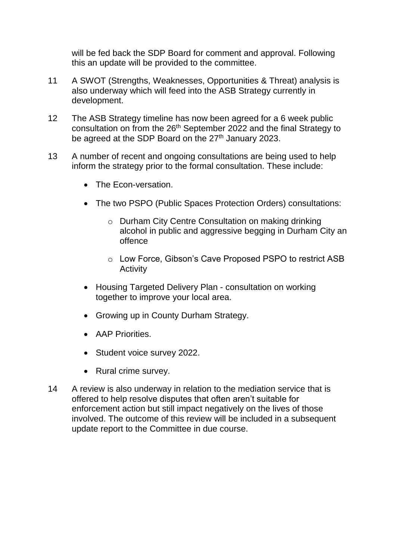will be fed back the SDP Board for comment and approval. Following this an update will be provided to the committee.

- 11 A SWOT (Strengths, Weaknesses, Opportunities & Threat) analysis is also underway which will feed into the ASB Strategy currently in development.
- 12 The ASB Strategy timeline has now been agreed for a 6 week public consultation on from the 26<sup>th</sup> September 2022 and the final Strategy to be agreed at the SDP Board on the 27<sup>th</sup> January 2023.
- 13 A number of recent and ongoing consultations are being used to help inform the strategy prior to the formal consultation. These include:
	- The Fcon-versation.
	- The two PSPO (Public Spaces Protection Orders) consultations:
		- o Durham City Centre Consultation on making drinking alcohol in public and aggressive begging in Durham City an offence
		- o Low Force, Gibson's Cave Proposed PSPO to restrict ASB Activity
	- Housing Targeted Delivery Plan consultation on working together to improve your local area.
	- Growing up in County Durham Strategy.
	- AAP Priorities.
	- Student voice survey 2022.
	- Rural crime survey.
- 14 A review is also underway in relation to the mediation service that is offered to help resolve disputes that often aren't suitable for enforcement action but still impact negatively on the lives of those involved. The outcome of this review will be included in a subsequent update report to the Committee in due course.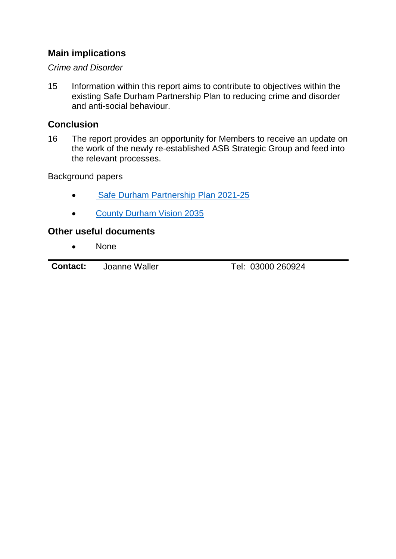# **Main implications**

#### *Crime and Disorder*

15 Information within this report aims to contribute to objectives within the existing Safe Durham Partnership Plan to reducing crime and disorder and anti-social behaviour.

## **Conclusion**

16 The report provides an opportunity for Members to receive an update on the work of the newly re-established ASB Strategic Group and feed into the relevant processes.

Background papers

- [Safe Durham Partnership Plan 2021-25](http://www.countydurhampartnership.co.uk/media/33142/Safe-Durham-Partnership-Plan-2021-to-2025/pdf/SafeDurhamPartnershipPlan2021-25.pdf)
- [County Durham Vision 2035](https://www.durham.gov.uk/vision)

## **Other useful documents**

• None

**Contact:** Joanne Waller Tel: 03000 260924